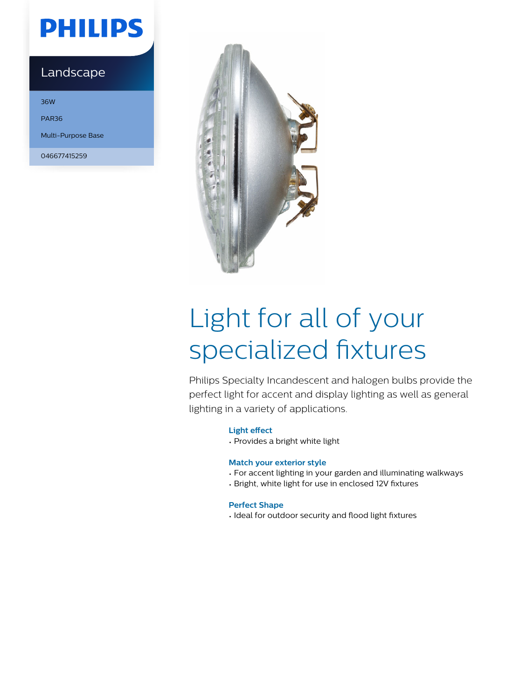## **PHILIPS**

### Landscape

36W PAR36 Multi-Purpose Base

046677415259



# Light for all of your specialized fixtures

Philips Specialty Incandescent and halogen bulbs provide the perfect light for accent and display lighting as well as general lighting in a variety of applications.

### **Light effect**

• Provides a bright white light

### **Match your exterior style**

- For accent lighting in your garden and illuminating walkways
- Bright, white light for use in enclosed 12V fixtures

### **Perfect Shape**

• Ideal for outdoor security and flood light fixtures